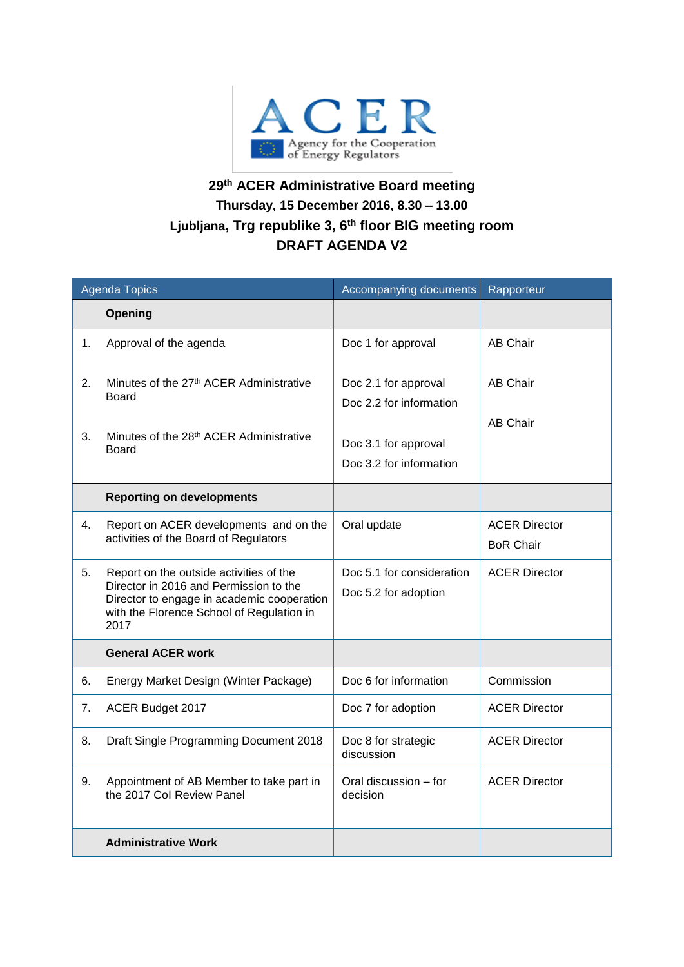

## **29 th ACER Administrative Board meeting Thursday, 15 December 2016, 8.30 – 13.00 Ljubljana, Trg republike 3, 6th floor BIG meeting room DRAFT AGENDA V2**

| <b>Agenda Topics</b> |                                                                                                                                                                                      | Accompanying documents                                                                             | Rapporteur                               |
|----------------------|--------------------------------------------------------------------------------------------------------------------------------------------------------------------------------------|----------------------------------------------------------------------------------------------------|------------------------------------------|
|                      | Opening                                                                                                                                                                              |                                                                                                    |                                          |
| 1.                   | Approval of the agenda                                                                                                                                                               | Doc 1 for approval                                                                                 | <b>AB Chair</b>                          |
| 2.<br>3.             | Minutes of the 27 <sup>th</sup> ACER Administrative<br>Board<br>Minutes of the 28 <sup>th</sup> ACER Administrative<br>Board                                                         | Doc 2.1 for approval<br>Doc 2.2 for information<br>Doc 3.1 for approval<br>Doc 3.2 for information | AB Chair<br>AB Chair                     |
|                      | <b>Reporting on developments</b>                                                                                                                                                     |                                                                                                    |                                          |
| 4.                   | Report on ACER developments and on the<br>activities of the Board of Regulators                                                                                                      | Oral update                                                                                        | <b>ACER Director</b><br><b>BoR Chair</b> |
| 5.                   | Report on the outside activities of the<br>Director in 2016 and Permission to the<br>Director to engage in academic cooperation<br>with the Florence School of Regulation in<br>2017 | Doc 5.1 for consideration<br>Doc 5.2 for adoption                                                  | <b>ACER Director</b>                     |
|                      | <b>General ACER work</b>                                                                                                                                                             |                                                                                                    |                                          |
| 6.                   | Energy Market Design (Winter Package)                                                                                                                                                | Doc 6 for information                                                                              | Commission                               |
| 7.                   | ACER Budget 2017                                                                                                                                                                     | Doc 7 for adoption                                                                                 | <b>ACER Director</b>                     |
| 8.                   | Draft Single Programming Document 2018                                                                                                                                               | Doc 8 for strategic<br>discussion                                                                  | <b>ACER Director</b>                     |
| 9.                   | Appointment of AB Member to take part in<br>the 2017 Col Review Panel                                                                                                                | Oral discussion – for<br>decision                                                                  | <b>ACER Director</b>                     |
|                      | <b>Administrative Work</b>                                                                                                                                                           |                                                                                                    |                                          |